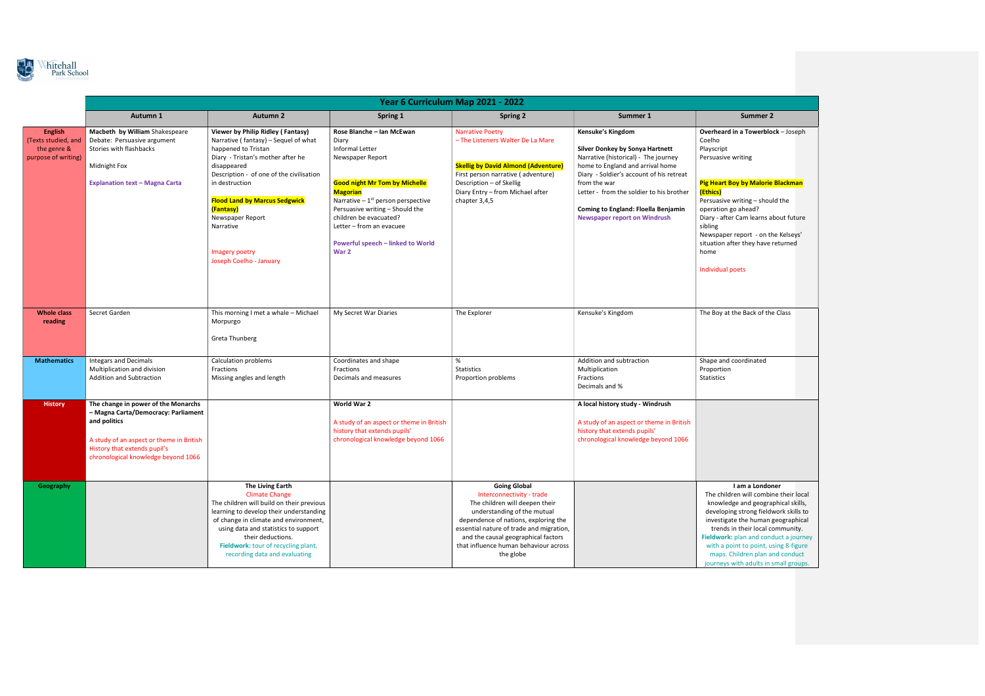

|                                                                             | Year 6 Curriculum Map 2021 - 2022                                                                                                                                                                             |                                                                                                                                                                                                                                                                                                                                                       |                                                                                                                                                                                                                                                                                                                           |                                                                                                                                                                                                                                                                                                    |                                                                                                                                                                                                                                                                                                                               |                                                                                                                                                                                                                                                                                                                                                 |  |  |
|-----------------------------------------------------------------------------|---------------------------------------------------------------------------------------------------------------------------------------------------------------------------------------------------------------|-------------------------------------------------------------------------------------------------------------------------------------------------------------------------------------------------------------------------------------------------------------------------------------------------------------------------------------------------------|---------------------------------------------------------------------------------------------------------------------------------------------------------------------------------------------------------------------------------------------------------------------------------------------------------------------------|----------------------------------------------------------------------------------------------------------------------------------------------------------------------------------------------------------------------------------------------------------------------------------------------------|-------------------------------------------------------------------------------------------------------------------------------------------------------------------------------------------------------------------------------------------------------------------------------------------------------------------------------|-------------------------------------------------------------------------------------------------------------------------------------------------------------------------------------------------------------------------------------------------------------------------------------------------------------------------------------------------|--|--|
|                                                                             | Autumn 1                                                                                                                                                                                                      | <b>Autumn 2</b>                                                                                                                                                                                                                                                                                                                                       | Spring 1                                                                                                                                                                                                                                                                                                                  | <b>Spring 2</b>                                                                                                                                                                                                                                                                                    | Summer 1                                                                                                                                                                                                                                                                                                                      | <b>Summer 2</b>                                                                                                                                                                                                                                                                                                                                 |  |  |
| <b>English</b><br>(Texts studied, and<br>the genre &<br>purpose of writing) | Macbeth by William Shakespeare<br>Debate: Persuasive argument<br>Stories with flashbacks<br>Midnight Fox<br><b>Explanation text - Magna Carta</b>                                                             | Viewer by Philip Ridley (Fantasy)<br>Narrative (fantasy) - Sequel of what<br>happened to Tristan<br>Diary - Tristan's mother after he<br>disappeared<br>Description - of one of the civilisation<br>in destruction<br><b>Flood Land by Marcus Sedgwick</b><br>(Fantasy)<br>Newspaper Report<br>Narrative<br>Imagery poetry<br>Joseph Coelho - January | Rose Blanche - Ian McEwan<br>Diary<br>Informal Letter<br>Newspaper Report<br><b>Good night Mr Tom by Michelle</b><br><b>Magorian</b><br>Narrative $-1st$ person perspective<br>Persuasive writing - Should the<br>children be evacuated?<br>Letter - from an evacuee<br><b>Powerful speech - linked to World</b><br>War 2 | <b>Narrative Poetry</b><br>- The Listeners Walter De La Mare<br><b>Skellig by David Almond (Adventure)</b><br>First person narrative (adventure)<br>Description - of Skellig<br>Diary Entry - from Michael after<br>chapter 3,4,5                                                                  | <b>Kensuke's Kingdom</b><br>Silver Donkey by Sonya Hartnett<br>Narrative (historical) - The journey<br>home to England and arrival home<br>Diary - Soldier's account of his retreat<br>from the war<br>Letter - from the soldier to his brother<br>Coming to England: Floella Benjamin<br><b>Newspaper report on Windrush</b> | Overheard in a Towerblock - Jo<br>Coelho<br>Playscript<br>Persuasive writing<br><b>Pig Heart Boy by Malorie Blackr</b><br>(Ethics)<br>Persuasive writing - should the<br>operation go ahead?<br>Diary - after Cam learns about fu<br>sibling<br>Newspaper report - on the Kels<br>situation after they have returne<br>home<br>Individual poets |  |  |
| <b>Whole class</b><br>reading                                               | Secret Garden                                                                                                                                                                                                 | This morning I met a whale - Michael<br>Morpurgo<br>Greta Thunberg                                                                                                                                                                                                                                                                                    | My Secret War Diaries                                                                                                                                                                                                                                                                                                     | The Explorer                                                                                                                                                                                                                                                                                       | Kensuke's Kingdom                                                                                                                                                                                                                                                                                                             | The Boy at the Back of the Class                                                                                                                                                                                                                                                                                                                |  |  |
| <b>Mathematics</b>                                                          | <b>Integars and Decimals</b><br>Multiplication and division<br>Addition and Subtraction                                                                                                                       | Calculation problems<br>Fractions<br>Missing angles and length                                                                                                                                                                                                                                                                                        | Coordinates and shape<br>Fractions<br>Decimals and measures                                                                                                                                                                                                                                                               | %<br><b>Statistics</b><br>Proportion problems                                                                                                                                                                                                                                                      | Addition and subtraction<br>Multiplication<br>Fractions<br>Decimals and %                                                                                                                                                                                                                                                     | Shape and coordinated<br>Proportion<br>Statistics                                                                                                                                                                                                                                                                                               |  |  |
| <b>History</b>                                                              | The change in power of the Monarchs<br>- Magna Carta/Democracy: Parliament<br>and politics<br>A study of an aspect or theme in British<br>History that extends pupil's<br>chronological knowledge beyond 1066 |                                                                                                                                                                                                                                                                                                                                                       | World War 2<br>A study of an aspect or theme in British<br>history that extends pupils'<br>chronological knowledge beyond 1066                                                                                                                                                                                            |                                                                                                                                                                                                                                                                                                    | A local history study - Windrush<br>A study of an aspect or theme in British<br>history that extends pupils'<br>chronological knowledge beyond 1066                                                                                                                                                                           |                                                                                                                                                                                                                                                                                                                                                 |  |  |
| Geography                                                                   |                                                                                                                                                                                                               | The Living Earth<br><b>Climate Change</b><br>The children will build on their previous<br>learning to develop their understanding<br>of change in climate and environment,<br>using data and statistics to support<br>their deductions.<br>Fieldwork: tour of recycling plant,<br>recording data and evaluating                                       |                                                                                                                                                                                                                                                                                                                           | <b>Going Global</b><br>Interconnectivity - trade<br>The children will deepen their<br>understanding of the mutual<br>dependence of nations, exploring the<br>essential nature of trade and migration,<br>and the causal geographical factors<br>that influence human behaviour across<br>the globe |                                                                                                                                                                                                                                                                                                                               | I am a Londoner<br>The children will combine thei<br>knowledge and geographical<br>developing strong fieldwork sl<br>investigate the human geogra<br>trends in their local commur<br>Fieldwork: plan and conduct a j<br>with a point to point, using 8-<br>maps. Children plan and con<br>journeys with adults in small g                       |  |  |

Towerblock – Joseph

## y Malorie Blackman

 $\mathsf{ling}$  – should the ead? m learns about future

ort - on the Kelseys' they have returned

| Back of the Class |  |
|-------------------|--|
| dinated           |  |
|                   |  |

## n a Londoner

will combine their local knowledge and geographical skills, developing strong fieldwork skills to investigate the human geographical eir local community. n and conduct a journey to point, using 8-figure ren plan and conduct adults in small groups.